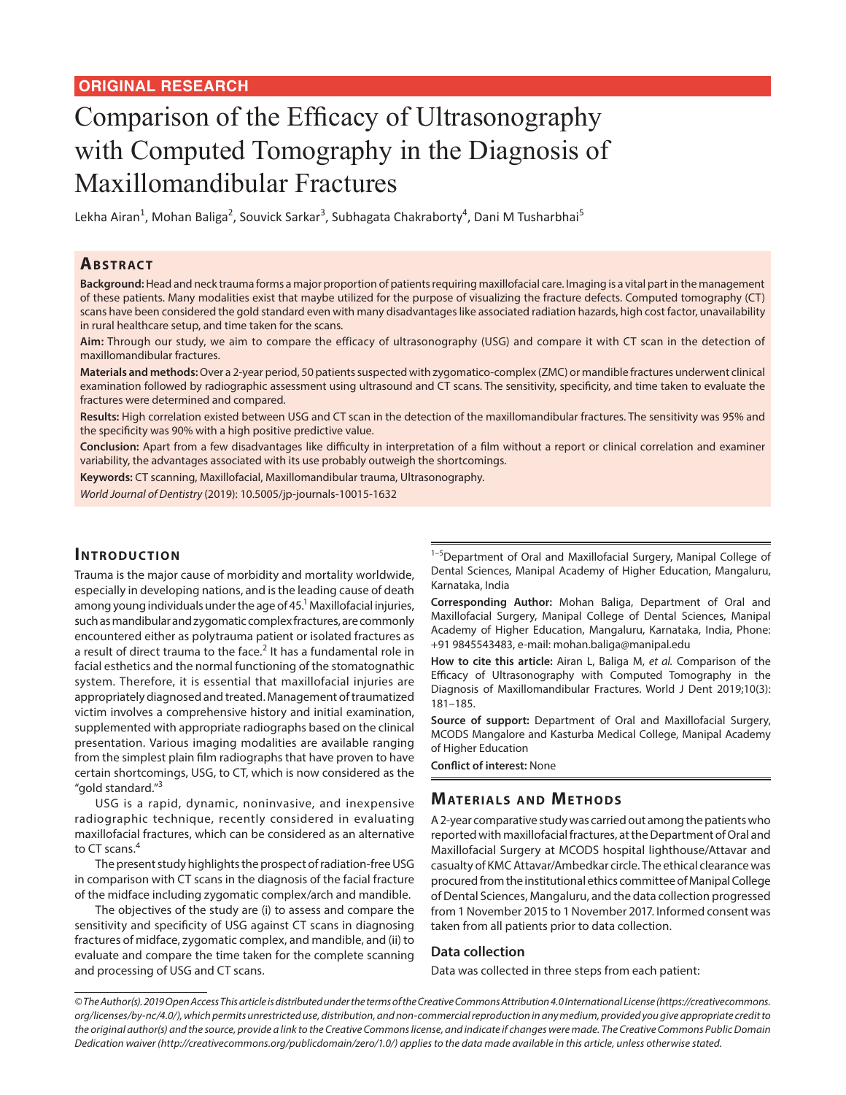# Comparison of the Efficacy of Ultrasonography with Computed Tomography in the Diagnosis of Maxillomandibular Fractures

Lekha Airan<sup>1</sup>, Mohan Baliga<sup>2</sup>, Souvick Sarkar<sup>3</sup>, Subhagata Chakraborty<sup>4</sup>, Dani M Tusharbhai<sup>5</sup>

## **ABSTRACT**

**Background:** Head and neck trauma forms a major proportion of patients requiring maxillofacial care. Imaging is a vital part in the management of these patients. Many modalities exist that maybe utilized for the purpose of visualizing the fracture defects. Computed tomography (CT) scans have been considered the gold standard even with many disadvantages like associated radiation hazards, high cost factor, unavailability in rural healthcare setup, and time taken for the scans.

**Aim:** Through our study, we aim to compare the efficacy of ultrasonography (USG) and compare it with CT scan in the detection of maxillomandibular fractures.

**Materials and methods:** Over a 2-year period, 50 patients suspected with zygomatico-complex (ZMC) or mandible fractures underwent clinical examination followed by radiographic assessment using ultrasound and CT scans. The sensitivity, specificity, and time taken to evaluate the fractures were determined and compared.

**Results:** High correlation existed between USG and CT scan in the detection of the maxillomandibular fractures. The sensitivity was 95% and the specificity was 90% with a high positive predictive value.

**Conclusion:** Apart from a few disadvantages like difficulty in interpretation of a film without a report or clinical correlation and examiner variability, the advantages associated with its use probably outweigh the shortcomings.

**Keywords:** CT scanning, Maxillofacial, Maxillomandibular trauma, Ultrasonography.

*World Journal of Dentistry* (2019): 10.5005/jp-journals-10015-1632

## **INTRODUCTION**

Trauma is the major cause of morbidity and mortality worldwide, especially in developing nations, and is the leading cause of death among young individuals under the age of 45. $^1$  Maxillofacial injuries, such as mandibular and zygomatic complex fractures, are commonly encountered either as polytrauma patient or isolated fractures as a result of direct trauma to the face.<sup>2</sup> It has a fundamental role in facial esthetics and the normal functioning of the stomatognathic system. Therefore, it is essential that maxillofacial injuries are appropriately diagnosed and treated. Management of traumatized victim involves a comprehensive history and initial examination, supplemented with appropriate radiographs based on the clinical presentation. Various imaging modalities are available ranging from the simplest plain film radiographs that have proven to have certain shortcomings, USG, to CT, which is now considered as the "gold standard."<sup>3</sup>

USG is a rapid, dynamic, noninvasive, and inexpensive radiographic technique, recently considered in evaluating maxillofacial fractures, which can be considered as an alternative to CT scans.<sup>4</sup>

The present study highlights the prospect of radiation-free USG in comparison with CT scans in the diagnosis of the facial fracture of the midface including zygomatic complex/arch and mandible.

The objectives of the study are (i) to assess and compare the sensitivity and specificity of USG against CT scans in diagnosing fractures of midface, zygomatic complex, and mandible, and (ii) to evaluate and compare the time taken for the complete scanning and processing of USG and CT scans.

<sup>1-5</sup>Department of Oral and Maxillofacial Surgery, Manipal College of Dental Sciences, Manipal Academy of Higher Education, Mangaluru, Karnataka, India

**Corresponding Author:** Mohan Baliga, Department of Oral and Maxillofacial Surgery, Manipal College of Dental Sciences, Manipal Academy of Higher Education, Mangaluru, Karnataka, India, Phone: +91 9845543483, e-mail: mohan.baliga@manipal.edu

**How to cite this article:** Airan L, Baliga M, *et al.* Comparison of the Efficacy of Ultrasonography with Computed Tomography in the Diagnosis of Maxillomandibular Fractures. World J Dent 2019;10(3): 181–185.

**Source of support:** Department of Oral and Maxillofacial Surgery, MCODS Mangalore and Kasturba Medical College, Manipal Academy of Higher Education

**Conflict of interest:** None

# **MATERIALS AND METHODS**

A 2-year comparative study was carried out among the patients who reported with maxillofacial fractures, at the Department of Oral and Maxillofacial Surgery at MCODS hospital lighthouse/Attavar and casualty of KMC Attavar/Ambedkar circle. The ethical clearance was procured from the institutional ethics committee of Manipal College of Dental Sciences, Mangaluru, and the data collection progressed from 1 November 2015 to 1 November 2017. Informed consent was taken from all patients prior to data collection.

#### **Data collection**

Data was collected in three steps from each patient:

*<sup>©</sup> The Author(s). 2019 Open Access This article is distributed under the terms of the Creative Commons Attribution 4.0 International License (https://creativecommons. org/licenses/by-nc/4.0/), which permits unrestricted use, distribution, and non-commercial reproduction in any medium, provided you give appropriate credit to the original author(s) and the source, provide a link to the Creative Commons license, and indicate if changes were made. The Creative Commons Public Domain Dedication waiver (http://creativecommons.org/publicdomain/zero/1.0/) applies to the data made available in this article, unless otherwise stated.*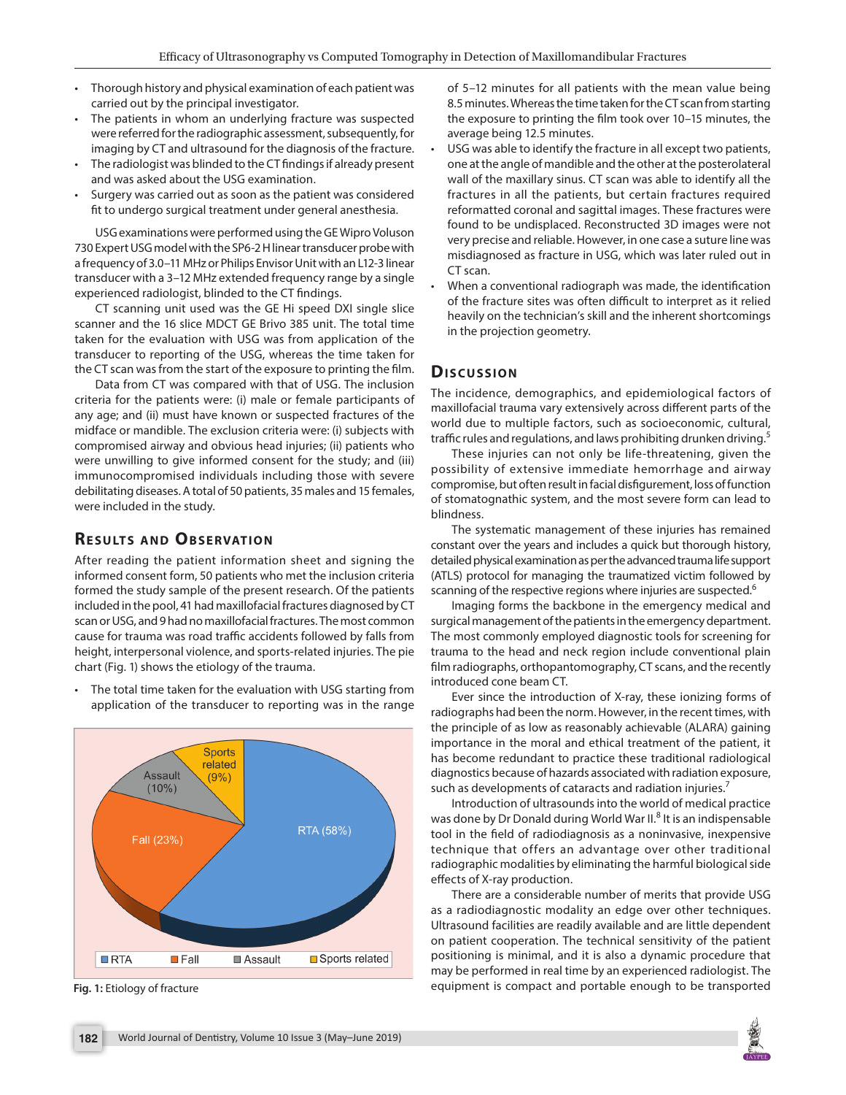- Thorough history and physical examination of each patient was carried out by the principal investigator.
- The patients in whom an underlying fracture was suspected were referred for the radiographic assessment, subsequently, for imaging by CT and ultrasound for the diagnosis of the fracture.
- The radiologist was blinded to the CT findings if already present and was asked about the USG examination.
- Surgery was carried out as soon as the patient was considered fit to undergo surgical treatment under general anesthesia.

USG examinations were performed using the GE Wipro Voluson 730 Expert USG model with the SP6-2 H linear transducer probe with a frequency of 3.0–11 MHz or Philips Envisor Unit with an L12-3 linear transducer with a 3–12 MHz extended frequency range by a single experienced radiologist, blinded to the CT findings.

CT scanning unit used was the GE Hi speed DXI single slice scanner and the 16 slice MDCT GE Brivo 385 unit. The total time taken for the evaluation with USG was from application of the transducer to reporting of the USG, whereas the time taken for the CT scan was from the start of the exposure to printing the film.

Data from CT was compared with that of USG. The inclusion criteria for the patients were: (i) male or female participants of any age; and (ii) must have known or suspected fractures of the midface or mandible. The exclusion criteria were: (i) subjects with compromised airway and obvious head injuries; (ii) patients who were unwilling to give informed consent for the study; and (iii) immunocompromised individuals including those with severe debilitating diseases. A total of 50 patients, 35 males and 15 females, were included in the study.

# **RESULTS AND OBSERVATION**

After reading the patient information sheet and signing the informed consent form, 50 patients who met the inclusion criteria formed the study sample of the present research. Of the patients included in the pool, 41 had maxillofacial fractures diagnosed by CT scan or USG, and 9 had no maxillofacial fractures. The most common cause for trauma was road traffic accidents followed by falls from height, interpersonal violence, and sports-related injuries. The pie chart (Fig. 1) shows the etiology of the trauma.

• The total time taken for the evaluation with USG starting from application of the transducer to reporting was in the range



of 5–12 minutes for all patients with the mean value being 8.5 minutes. Whereas the time taken for the CT scan from starting the exposure to printing the film took over 10–15 minutes, the average being 12.5 minutes.

- USG was able to identify the fracture in all except two patients, one at the angle of mandible and the other at the posterolateral wall of the maxillary sinus. CT scan was able to identify all the fractures in all the patients, but certain fractures required reformatted coronal and sagittal images. These fractures were found to be undisplaced. Reconstructed 3D images were not very precise and reliable. However, in one case a suture line was misdiagnosed as fracture in USG, which was later ruled out in CT scan.
- When a conventional radiograph was made, the identification of the fracture sites was often difficult to interpret as it relied heavily on the technician's skill and the inherent shortcomings in the projection geometry.

# **Dis c u s sio n**

The incidence, demographics, and epidemiological factors of maxillofacial trauma vary extensively across different parts of the world due to multiple factors, such as socioeconomic, cultural, traffic rules and regulations, and laws prohibiting drunken driving.<sup>5</sup>

These injuries can not only be life-threatening, given the possibility of extensive immediate hemorrhage and airway compromise, but often result in facial disfigurement, loss of function of stomatognathic system, and the most severe form can lead to blindness.

The systematic management of these injuries has remained constant over the years and includes a quick but thorough history, detailed physical examination as per the advanced trauma life support (ATLS) protocol for managing the traumatized victim followed by scanning of the respective regions where injuries are suspected.<sup>6</sup>

Imaging forms the backbone in the emergency medical and surgical management of the patients in the emergency department. The most commonly employed diagnostic tools for screening for trauma to the head and neck region include conventional plain film radiographs, orthopantomography, CT scans, and the recently introduced cone beam CT.

Ever since the introduction of X-ray, these ionizing forms of radiographs had been the norm. However, in the recent times, with the principle of as low as reasonably achievable (ALARA) gaining importance in the moral and ethical treatment of the patient, it has become redundant to practice these traditional radiological diagnostics because of hazards associated with radiation exposure, such as developments of cataracts and radiation injuries.<sup>7</sup>

Introduction of ultrasounds into the world of medical practice was done by Dr Donald during World War II.<sup>8</sup> It is an indispensable tool in the field of radiodiagnosis as a noninvasive, inexpensive technique that offers an advantage over other traditional radiographic modalities by eliminating the harmful biological side effects of X-ray production.

There are a considerable number of merits that provide USG as a radiodiagnostic modality an edge over other techniques. Ultrasound facilities are readily available and are little dependent on patient cooperation. The technical sensitivity of the patient positioning is minimal, and it is also a dynamic procedure that may be performed in real time by an experienced radiologist. The **Fig. 1:** Etiology of fracture **Ethiology** of fracture **Ethiology** of fracture Ethiology of fracture Ethiology of fracture Ethiology of fracture Ethiology of fracture Ethiology of fracture Ethiology of fracture Ethiology o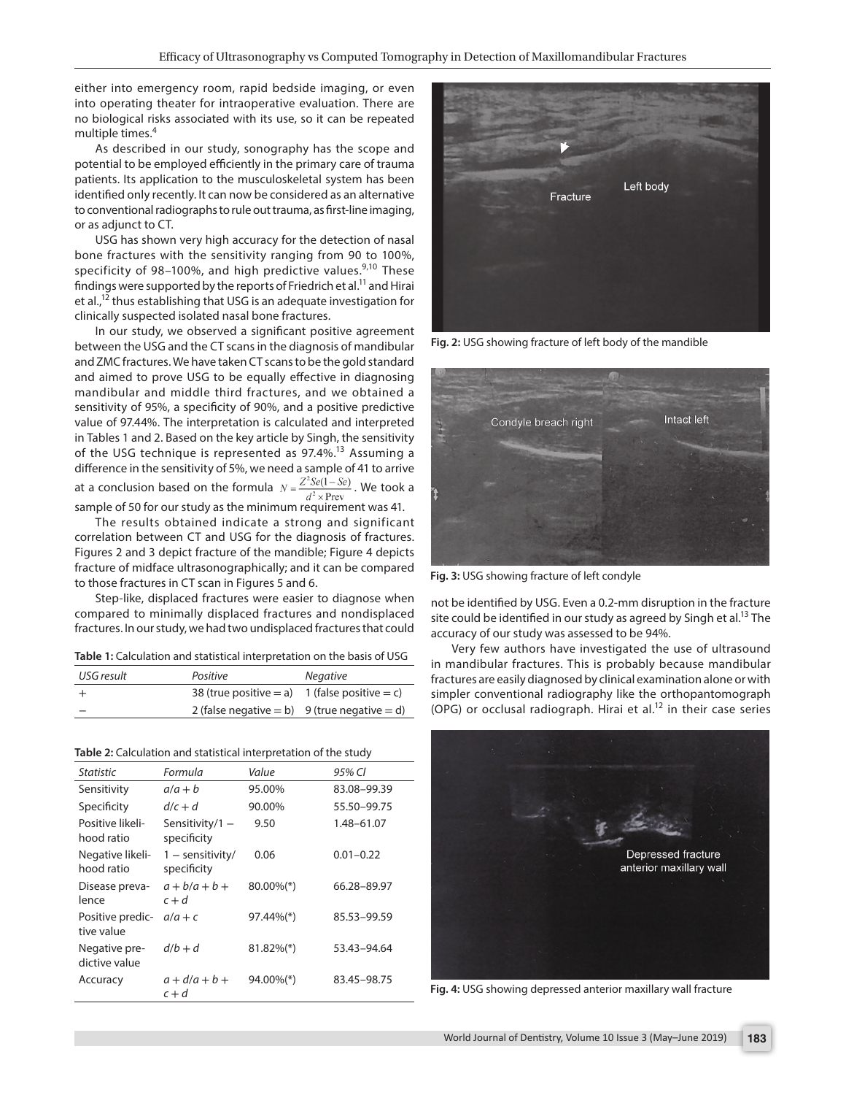either into emergency room, rapid bedside imaging, or even into operating theater for intraoperative evaluation. There are no biological risks associated with its use, so it can be repeated multiple times.<sup>4</sup>

As described in our study, sonography has the scope and potential to be employed efficiently in the primary care of trauma patients. Its application to the musculoskeletal system has been identified only recently. It can now be considered as an alternative to conventional radiographs to rule out trauma, as first-line imaging, or as adjunct to CT.

USG has shown very high accuracy for the detection of nasal bone fractures with the sensitivity ranging from 90 to 100%, specificity of 98–100%, and high predictive values. $9,10$  These findings were supported by the reports of Friedrich et al.<sup>11</sup> and Hirai et al.,<sup>12</sup> thus establishing that USG is an adequate investigation for clinically suspected isolated nasal bone fractures.

In our study, we observed a significant positive agreement between the USG and the CT scans in the diagnosis of mandibular and ZMC fractures. We have taken CT scans to be the gold standard and aimed to prove USG to be equally effective in diagnosing mandibular and middle third fractures, and we obtained a sensitivity of 95%, a specificity of 90%, and a positive predictive value of 97.44%. The interpretation is calculated and interpreted in Tables 1 and 2. Based on the key article by Singh, the sensitivity of the USG technique is represented as 97.4%.<sup>13</sup> Assuming a difference in the sensitivity of 5%, we need a sample of 41 to arrive at a conclusion based on the formula  $N = \frac{Z^2 \mathcal{S}e(1 - \mathcal{S}e)}{d^2 \times \text{Prev}}$ . We took a sample of 50 for our study as the minimum requirement was 41.

The results obtained indicate a strong and significant correlation between CT and USG for the diagnosis of fractures. Figures 2 and 3 depict fracture of the mandible; Figure 4 depicts fracture of midface ultrasonographically; and it can be compared to those fractures in CT scan in Figures 5 and 6.

Step-like, displaced fractures were easier to diagnose when compared to minimally displaced fractures and nondisplaced fractures. In our study, we had two undisplaced fractures that could

**Table 1:** Calculation and statistical interpretation on the basis of USG

| USG result | Positive                                      | <b>Negative</b> |
|------------|-----------------------------------------------|-----------------|
|            | 38 (true positive = a) 1 (false positive = c) |                 |
|            | 2 (false negative = b) 9 (true negative = d)  |                 |

**Table 2:** Calculation and statistical interpretation of the study

| <b>Statistic</b>               | Formula                           | Value                    | 95% CI        |
|--------------------------------|-----------------------------------|--------------------------|---------------|
| Sensitivity                    | $a/a + b$                         | 95.00%                   | 83.08-99.39   |
| Specificity                    | $d/c + d$                         | 90.00%                   | 55.50-99.75   |
| Positive likeli-<br>hood ratio | Sensitivity/1 $-$<br>specificity  | 9.50                     | 1.48-61.07    |
| Negative likeli-<br>hood ratio | $1 -$ sensitivity/<br>specificity | 0.06                     | $0.01 - 0.22$ |
| Disease preva-<br>lence        | $a + b/a + b +$<br>$c + d$        | $80.00\%$ <sup>(*)</sup> | 66.28-89.97   |
| Positive predic-<br>tive value | $a/a+c$                           | 97.44%(*)                | 85.53-99.59   |
| Negative pre-<br>dictive value | $d/b + d$                         | $81.82\%$ <sup>(*)</sup> | 53.43-94.64   |
| Accuracy                       | $a + d/a + b +$<br>$c + d$        | $94.00\%$ <sup>(*)</sup> | 83.45-98.75   |



**Fig. 2:** USG showing fracture of left body of the mandible



**Fig. 3:** USG showing fracture of left condyle

not be identified by USG. Even a 0.2-mm disruption in the fracture site could be identified in our study as agreed by Singh et al.<sup>13</sup> The accuracy of our study was assessed to be 94%.

Very few authors have investigated the use of ultrasound in mandibular fractures. This is probably because mandibular fractures are easily diagnosed by clinical examination alone or with simpler conventional radiography like the orthopantomograph (OPG) or occlusal radiograph. Hirai et al.<sup>12</sup> in their case series



**Fig. 4:** USG showing depressed anterior maxillary wall fracture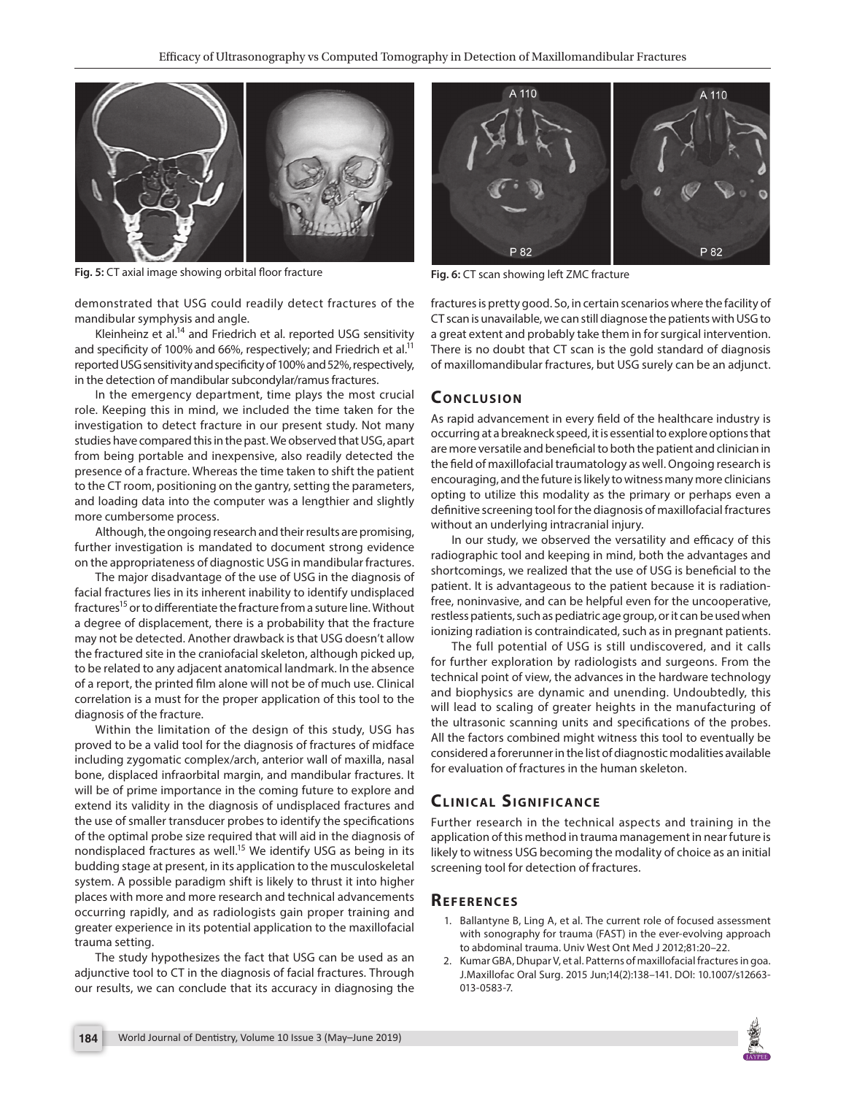

Fig. 5: CT axial image showing orbital floor fracture **Fig. 6:** CT scan showing left ZMC fracture

demonstrated that USG could readily detect fractures of the mandibular symphysis and angle.

Kleinheinz et al.<sup>14</sup> and Friedrich et al. reported USG sensitivity and specificity of 100% and 66%, respectively; and Friedrich et al.<sup>11</sup> reported USG sensitivity and specificity of 100% and 52%, respectively, in the detection of mandibular subcondylar/ramus fractures.

In the emergency department, time plays the most crucial role. Keeping this in mind, we included the time taken for the investigation to detect fracture in our present study. Not many studies have compared this in the past. We observed that USG, apart from being portable and inexpensive, also readily detected the presence of a fracture. Whereas the time taken to shift the patient to the CT room, positioning on the gantry, setting the parameters, and loading data into the computer was a lengthier and slightly more cumbersome process.

Although, the ongoing research and their results are promising, further investigation is mandated to document strong evidence on the appropriateness of diagnostic USG in mandibular fractures.

The major disadvantage of the use of USG in the diagnosis of facial fractures lies in its inherent inability to identify undisplaced fractures<sup>15</sup> or to differentiate the fracture from a suture line. Without a degree of displacement, there is a probability that the fracture may not be detected. Another drawback is that USG doesn't allow the fractured site in the craniofacial skeleton, although picked up, to be related to any adjacent anatomical landmark. In the absence of a report, the printed film alone will not be of much use. Clinical correlation is a must for the proper application of this tool to the diagnosis of the fracture.

Within the limitation of the design of this study, USG has proved to be a valid tool for the diagnosis of fractures of midface including zygomatic complex/arch, anterior wall of maxilla, nasal bone, displaced infraorbital margin, and mandibular fractures. It will be of prime importance in the coming future to explore and extend its validity in the diagnosis of undisplaced fractures and the use of smaller transducer probes to identify the specifications of the optimal probe size required that will aid in the diagnosis of nondisplaced fractures as well.<sup>15</sup> We identify USG as being in its budding stage at present, in its application to the musculoskeletal system. A possible paradigm shift is likely to thrust it into higher places with more and more research and technical advancements occurring rapidly, and as radiologists gain proper training and greater experience in its potential application to the maxillofacial trauma setting.

The study hypothesizes the fact that USG can be used as an adjunctive tool to CT in the diagnosis of facial fractures. Through our results, we can conclude that its accuracy in diagnosing the



fractures is pretty good. So, in certain scenarios where the facility of CT scan is unavailable, we can still diagnose the patients with USG to a great extent and probably take them in for surgical intervention. There is no doubt that CT scan is the gold standard of diagnosis of maxillomandibular fractures, but USG surely can be an adjunct.

# **CONCLUSION**

As rapid advancement in every field of the healthcare industry is occurring at a breakneck speed, it is essential to explore options that are more versatile and beneficial to both the patient and clinician in the field of maxillofacial traumatology as well. Ongoing research is encouraging, and the future is likely to witness many more clinicians opting to utilize this modality as the primary or perhaps even a definitive screening tool for the diagnosis of maxillofacial fractures without an underlying intracranial injury.

In our study, we observed the versatility and efficacy of this radiographic tool and keeping in mind, both the advantages and shortcomings, we realized that the use of USG is beneficial to the patient. It is advantageous to the patient because it is radiationfree, noninvasive, and can be helpful even for the uncooperative, restless patients, such as pediatric age group, or it can be used when ionizing radiation is contraindicated, such as in pregnant patients.

The full potential of USG is still undiscovered, and it calls for further exploration by radiologists and surgeons. From the technical point of view, the advances in the hardware technology and biophysics are dynamic and unending. Undoubtedly, this will lead to scaling of greater heights in the manufacturing of the ultrasonic scanning units and specifications of the probes. All the factors combined might witness this tool to eventually be considered a forerunner in the list of diagnostic modalities available for evaluation of fractures in the human skeleton.

# **CLINICAL SIGNIFICANCE**

Further research in the technical aspects and training in the application of this method in trauma management in near future is likely to witness USG becoming the modality of choice as an initial screening tool for detection of fractures.

#### **REFERENCES**

- 1. Ballantyne B, Ling A, et al. The current role of focused assessment with sonography for trauma (FAST) in the ever-evolving approach to abdominal trauma. Univ West Ont Med J 2012;81:20–22.
- 2. Kumar GBA, Dhupar V, et al. Patterns of maxillofacial fractures in goa. J.Maxillofac Oral Surg. 2015 Jun;14(2):138–141. DOI: 10.1007/s12663- 013-0583-7.